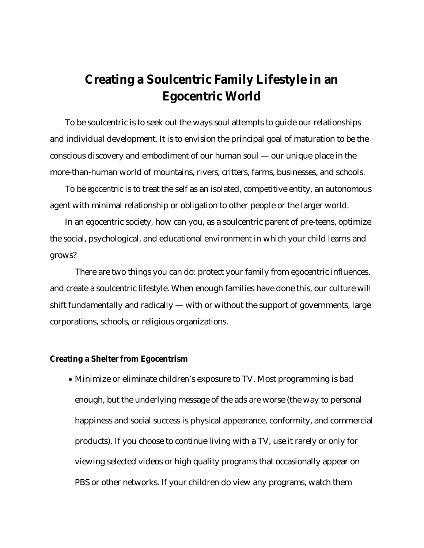## **Creating a Soulcentric Family Lifestyle in an Egocentric World**

To be soulcentric is to seek out the ways soul attempts to guide our relationships and individual development. It is to envision the principal goal of maturation to be the conscious discovery and embodiment of our human soul — our unique place in the more-than-human world of mountains, rivers, critters, farms, businesses, and schools.

To be *ego*centric is to treat the self as an isolated, competitive entity, an autonomous agent with minimal relationship or obligation to other people or the larger world.

In an egocentric society, how can you, as a soulcentric parent of pre-teens, optimize the social, psychological, and educational environment in which your child learns and grows?

There are two things you can do: protect your family from egocentric influences, and create a soulcentric lifestyle. When enough families have done this, our culture will shift fundamentally and radically — with or without the support of governments, large corporations, schools, or religious organizations.

## **Creating a Shelter from Egocentrism**

 Minimize or eliminate children's exposure to TV. Most programming is bad enough, but the underlying message of the ads are worse (the way to personal happiness and social success is physical appearance, conformity, and commercial products). If you choose to continue living with a TV, use it rarely or only for viewing selected videos or high quality programs that occasionally appear on PBS or other networks. If your children do view any programs, watch them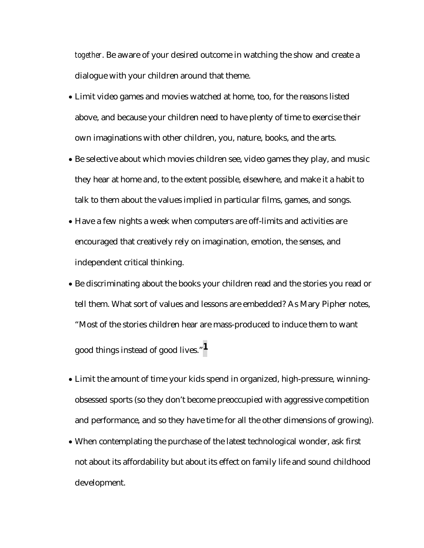*together*. Be aware of your desired outcome in watching the show and create a dialogue with your children around that theme.

- Limit video games and movies watched at home, too, for the reasons listed above, and because your children need to have plenty of time to exercise their own imaginations with other children, you, nature, books, and the arts.
- Be selective about which movies children see, video games they play, and music they hear at home and, to the extent possible, elsewhere, and make it a habit to talk to them about the values implied in particular films, games, and songs.
- Have a few nights a week when computers are off-limits and activities are encouraged that creatively rely on imagination, emotion, the senses, and independent critical thinking.
- Be discriminating about the books your children read and the stories you read or tell them. What sort of values and lessons are embedded? As Mary Pipher notes, "Most of the stories children hear are mass-produced to induce them to want good things instead of good lives."**1**
- Limit the amount of time your kids spend in organized, high-pressure, winningobsessed sports (so they don't become preoccupied with aggressive competition and performance, and so they have time for all the other dimensions of growing).
- When contemplating the purchase of the latest technological wonder, ask first not about its affordability but about its effect on family life and sound childhood development.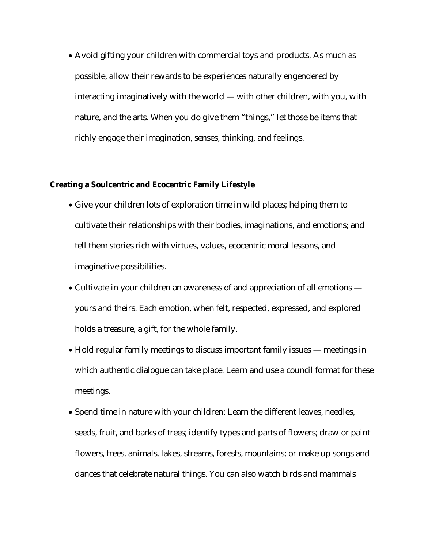Avoid gifting your children with commercial toys and products. As much as possible, allow their rewards to be experiences naturally engendered by interacting imaginatively with the world — with other children, with you, with nature, and the arts. When you do give them "things," let those be items that richly engage their imagination, senses, thinking, and feelings.

## **Creating a Soulcentric and Ecocentric Family Lifestyle**

- Give your children lots of exploration time in wild places; helping them to cultivate their relationships with their bodies, imaginations, and emotions; and tell them stories rich with virtues, values, ecocentric moral lessons, and imaginative possibilities.
- Cultivate in your children an awareness of and appreciation of all emotions yours and theirs. Each emotion, when felt, respected, expressed, and explored holds a treasure, a gift, for the whole family.
- Hold regular family meetings to discuss important family issues meetings in which authentic dialogue can take place. Learn and use a council format for these meetings.
- Spend time in nature with your children: Learn the different leaves, needles, seeds, fruit, and barks of trees; identify types and parts of flowers; draw or paint flowers, trees, animals, lakes, streams, forests, mountains; or make up songs and dances that celebrate natural things. You can also watch birds and mammals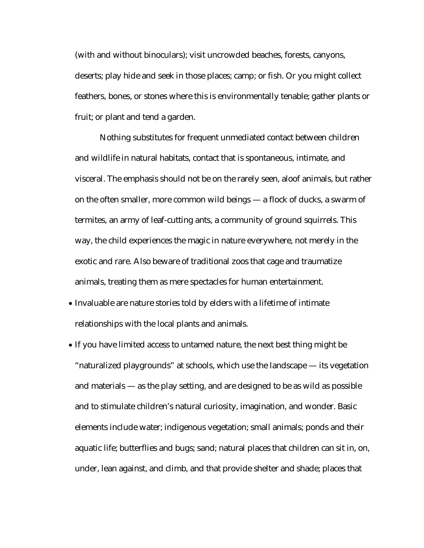(with and without binoculars); visit uncrowded beaches, forests, canyons, deserts; play hide and seek in those places; camp; or fish. Or you might collect feathers, bones, or stones where this is environmentally tenable; gather plants or fruit; or plant and tend a garden.

Nothing substitutes for frequent unmediated contact between children and wildlife in natural habitats, contact that is spontaneous, intimate, and visceral. The emphasis should not be on the rarely seen, aloof animals, but rather on the often smaller, more common wild beings — a flock of ducks, a swarm of termites, an army of leaf-cutting ants, a community of ground squirrels. This way, the child experiences the magic in nature everywhere, not merely in the exotic and rare. Also beware of traditional zoos that cage and traumatize animals, treating them as mere spectacles for human entertainment.

- Invaluable are nature stories told by elders with a lifetime of intimate relationships with the local plants and animals.
- If you have limited access to untamed nature, the next best thing might be "naturalized playgrounds" at schools, which use the landscape — its vegetation and materials — as the play setting, and are designed to be as wild as possible and to stimulate children's natural curiosity, imagination, and wonder. Basic elements include water; indigenous vegetation; small animals; ponds and their aquatic life; butterflies and bugs; sand; natural places that children can sit in, on, under, lean against, and climb, and that provide shelter and shade; places that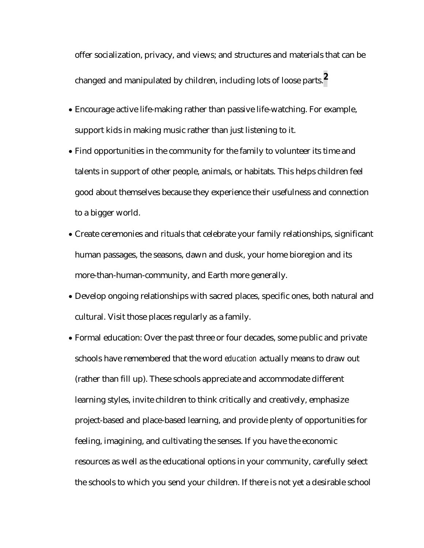offer socialization, privacy, and views; and structures and materials that can be changed and manipulated by children, including lots of loose parts.**2**

- Encourage active life-making rather than passive life-watching. For example, support kids in making music rather than just listening to it.
- Find opportunities in the community for the family to volunteer its time and talents in support of other people, animals, or habitats. This helps children feel good about themselves because they experience their usefulness and connection to a bigger world.
- Create ceremonies and rituals that celebrate your family relationships, significant human passages, the seasons, dawn and dusk, your home bioregion and its more-than-human-community, and Earth more generally.
- Develop ongoing relationships with sacred places, specific ones, both natural and cultural. Visit those places regularly as a family.
- Formal education: Over the past three or four decades, some public and private schools have remembered that the word *education* actually means to draw out (rather than fill up). These schools appreciate and accommodate different learning styles, invite children to think critically and creatively, emphasize project-based and place-based learning, and provide plenty of opportunities for feeling, imagining, and cultivating the senses. If you have the economic resources as well as the educational options in your community, carefully select the schools to which you send your children. If there is not yet a desirable school